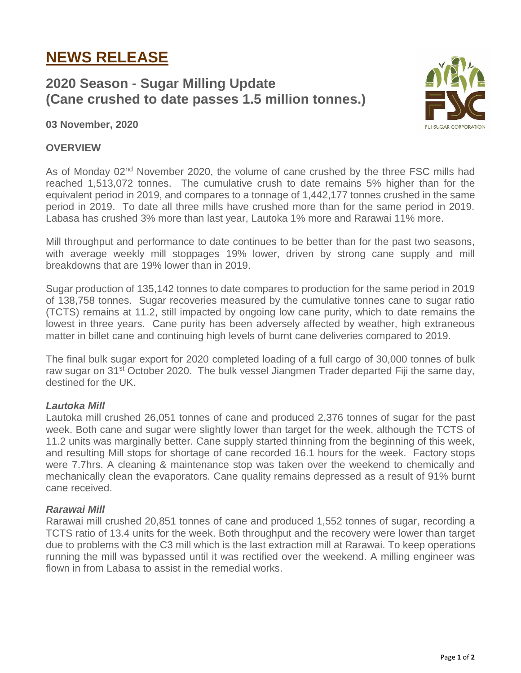# **NEWS RELEASE**

# **2020 Season - Sugar Milling Update (Cane crushed to date passes 1.5 million tonnes.)**



## **03 November, 2020**

### **OVERVIEW**

As of Monday 02<sup>nd</sup> November 2020, the volume of cane crushed by the three FSC mills had reached 1,513,072 tonnes. The cumulative crush to date remains 5% higher than for the equivalent period in 2019, and compares to a tonnage of 1,442,177 tonnes crushed in the same period in 2019. To date all three mills have crushed more than for the same period in 2019. Labasa has crushed 3% more than last year, Lautoka 1% more and Rarawai 11% more.

Mill throughput and performance to date continues to be better than for the past two seasons, with average weekly mill stoppages 19% lower, driven by strong cane supply and mill breakdowns that are 19% lower than in 2019.

Sugar production of 135,142 tonnes to date compares to production for the same period in 2019 of 138,758 tonnes. Sugar recoveries measured by the cumulative tonnes cane to sugar ratio (TCTS) remains at 11.2, still impacted by ongoing low cane purity, which to date remains the lowest in three years. Cane purity has been adversely affected by weather, high extraneous matter in billet cane and continuing high levels of burnt cane deliveries compared to 2019.

The final bulk sugar export for 2020 completed loading of a full cargo of 30,000 tonnes of bulk raw sugar on 31<sup>st</sup> October 2020. The bulk vessel Jiangmen Trader departed Fiji the same day, destined for the UK.

### *Lautoka Mill*

Lautoka mill crushed 26,051 tonnes of cane and produced 2,376 tonnes of sugar for the past week. Both cane and sugar were slightly lower than target for the week, although the TCTS of 11.2 units was marginally better. Cane supply started thinning from the beginning of this week, and resulting Mill stops for shortage of cane recorded 16.1 hours for the week. Factory stops were 7.7hrs. A cleaning & maintenance stop was taken over the weekend to chemically and mechanically clean the evaporators. Cane quality remains depressed as a result of 91% burnt cane received.

### *Rarawai Mill*

Rarawai mill crushed 20,851 tonnes of cane and produced 1,552 tonnes of sugar, recording a TCTS ratio of 13.4 units for the week. Both throughput and the recovery were lower than target due to problems with the C3 mill which is the last extraction mill at Rarawai. To keep operations running the mill was bypassed until it was rectified over the weekend. A milling engineer was flown in from Labasa to assist in the remedial works.